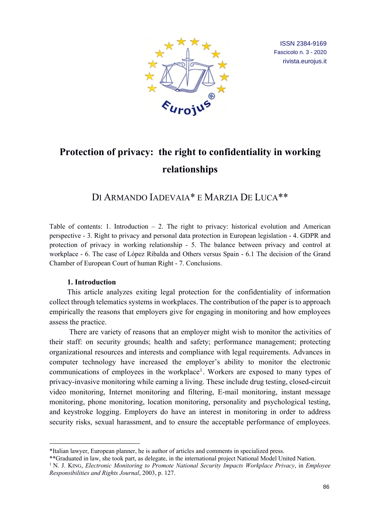

ISSN 2384-9169 Fascicolo n. 3 - 2020 rivista.eurojus.it

# **Protection of privacy: the right to confidentiality in working relationships**

DI ARMANDO IADEVAIA\* E MARZIA DE LUCA\*\*

Table of contents: 1. Introduction  $-2$ . The right to privacy: historical evolution and American perspective - 3. Right to privacy and personal data protection in European legislation - 4. GDPR and protection of privacy in working relationship - 5. The balance between privacy and control at workplace - 6. The case of López Ribalda and Others versus Spain - 6.1 The decision of the Grand Chamber of European Court of human Right - 7. Conclusions.

## **1. Introduction**

This article analyzes exiting legal protection for the confidentiality of information collect through telematics systems in workplaces. The contribution of the paper is to approach empirically the reasons that employers give for engaging in monitoring and how employees assess the practice.

There are variety of reasons that an employer might wish to monitor the activities of their staff: on security grounds; health and safety; performance management; protecting organizational resources and interests and compliance with legal requirements. Advances in computer technology have increased the employer's ability to monitor the electronic communications of employees in the workplace<sup>1</sup>. Workers are exposed to many types of privacy-invasive monitoring while earning a living. These include drug testing, closed-circuit video monitoring, Internet monitoring and filtering, E-mail monitoring, instant message monitoring, phone monitoring, location monitoring, personality and psychological testing, and keystroke logging. Employers do have an interest in monitoring in order to address security risks, sexual harassment, and to ensure the acceptable performance of employees.

<sup>\*</sup>Italian lawyer, European planner, he is author of articles and comments in specialized press.

<sup>\*\*</sup>Graduated in law, she took part, as delegate, in the international project National Model United Nation.

<sup>1</sup> N. J. KING, *Electronic Monitoring to Promote National Security Impacts Workplace Privacy*, in *Employee Responsibilities and Rights Journal*, 2003, p. 127.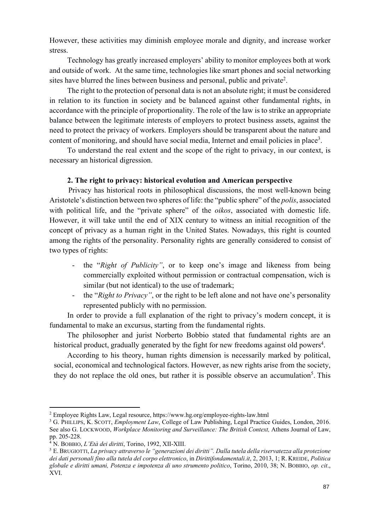However, these activities may diminish employee morale and dignity, and increase worker stress.

Technology has greatly increased employers' ability to monitor employees both at work and outside of work. At the same time, technologies like smart phones and social networking sites have blurred the lines between business and personal, public and private<sup>2</sup>.

The right to the protection of personal data is not an absolute right; it must be considered in relation to its function in society and be balanced against other fundamental rights, in accordance with the principle of proportionality. The role of the law is to strike an appropriate balance between the legitimate interests of employers to protect business assets, against the need to protect the privacy of workers. Employers should be transparent about the nature and content of monitoring, and should have social media, Internet and email policies in place<sup>3</sup>.

To understand the real extent and the scope of the right to privacy, in our context, is necessary an historical digression.

## **2. The right to privacy: historical evolution and American perspective**

 Privacy has historical roots in philosophical discussions, the most well-known being Aristotele's distinction between two spheres of life: the "public sphere" of the *polis*, associated with political life, and the "private sphere" of the *oikos*, associated with domestic life. However, it will take until the end of XIX century to witness an initial recognition of the concept of privacy as a human right in the United States. Nowadays, this right is counted among the rights of the personality. Personality rights are generally considered to consist of two types of rights:

- the "*Right of Publicity"*, or to keep one's image and likeness from being commercially exploited without permission or contractual compensation, wich is similar (but not identical) to the use of trademark;
- the "*Right to Privacy*", or the right to be left alone and not have one's personality represented publicly with no permission.

In order to provide a full explanation of the right to privacy's modern concept, it is fundamental to make an excursus, starting from the fundamental rights.

The philosopher and jurist Norberto Bobbio stated that fundamental rights are an historical product, gradually generated by the fight for new freedoms against old powers<sup>4</sup>.

According to his theory, human rights dimension is necessarily marked by political, social, economical and technological factors. However, as new rights arise from the society, they do not replace the old ones, but rather it is possible observe an accumulation<sup>5</sup>. This

<sup>2</sup> Employee Rights Law, Legal resource, https://www.hg.org/employee-rights-law.html

<sup>&</sup>lt;sup>3</sup> G. PHILLIPS, K. SCOTT, *Employment Law*, College of Law Publishing, Legal Practice Guides, London, 2016. See also G. LOCKWOOD, *Workplace Monitoring and Surveillance: The British Context*, Athens Journal of Law, pp. 205-228.

<sup>4</sup> N. BOBBIO, *L'Età dei diritti*, Torino, 1992, XII-XIII.

<sup>5</sup> E.BRUGIOTTI, *La privacy attraverso le "generazioni dei diritti". Dalla tutela della riservatezza alla protezione dei dati personali fino alla tutela del corpo elettronico*, in *Dirittifondamentali.it*, 2, 2013, 1; R. KREIDE, *Politica globale e diritti umani, Potenza e impotenza di uno strumento politico*, Torino, 2010, 38; N. BOBBIO, *op. cit*., XVI.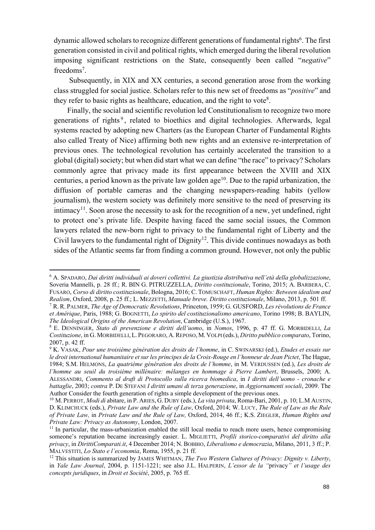dynamic allowed scholars to recognize different generations of fundamental rights<sup>6</sup>. The first generation consisted in civil and political rights, which emerged during the liberal revolution imposing significant restrictions on the State, consequently been called "*negative*" freedoms<sup>7</sup>.

Subsequently, in XIX and XX centuries, a second generation arose from the working class struggled for social justice. Scholars refer to this new set of freedoms as "*positive*" and they refer to basic rights as healthcare, education, and the right to vote<sup>8</sup>.

Finally, the social and scientific revolution led Constitutionalism to recognize two more generations of rights<sup>9</sup>, related to bioethics and digital technologies. Afterwards, legal systems reacted by adopting new Charters (as the European Charter of Fundamental Rights also called Treaty of Nice) affirming both new rights and an extensive re-interpretation of previous ones. The technological revolution has certainly accelerated the transition to a global (digital) society; but when did start what we can define "the race" to privacy? Scholars commonly agree that privacy made its first appearance between the XVIII and XIX centuries, a period known as the private law golden  $age^{10}$ . Due to the rapid urbanization, the diffusion of portable cameras and the changing newspapers-reading habits (yellow journalism), the western society was definitely more sensitive to the need of preserving its intimacy<sup>11</sup>. Soon arose the necessity to ask for the recognition of a new, yet undefined, right to protect one's private life. Despite having faced the same social issues, the Common lawyers related the new-born right to privacy to the fundamental right of Liberty and the Civil lawyers to the fundamental right of Dignity<sup>12</sup>. This divide continues nowadays as both sides of the Atlantic seems far from finding a common ground. However, not only the public

<sup>6</sup> A. SPADARO, *Dai diritti individuali ai doveri collettivi. La giustizia distributiva nell'età della globalizzazione*, Soveria Mannelli, p. 28 ff.; R. BIN G. PITRUZZELLA, *Diritto costituzionale*, Torino, 2015; A. BARBERA, C. FUSARO, *Corso di diritto costituzionale*, Bologna, 2016; C. TOMUSCHAFT, *Human Rights: Between idealism and Realism*, Oxford, 2008, p. 25 ff.; L. MEZZETTI, *Manuale breve. Diritto costituzionale*, Milano, 2013, p. 501 ff.

<sup>7</sup> R. R. PALMER, *The Age of Democratic Revolutions*, Princeton, 1959; G. GUSFORD, *Les révolutions de France et Amérique*, Paris, 1988; G. BOGNETTI, *Lo spirito del costituzionalismo americano*, Torino 1998; B. BAYLIN, *The Ideological Origins of the American Revolution*, Cambridge (U.S.), 1967.

<sup>8</sup> E. DENNINGER, *Stato di prevenzione e diritti dell'uomo*, in *Nomos*, 1996, p. 47 ff. G. MORBIDELLI, *La Costituzione*, in G. MORBIDELLI,L. PEGORARO, A.REPOSO, M. VOLPI (eds.), *Diritto pubblico comparato*, Torino, 2007, p. 42 ff.

<sup>9</sup> K. VASAK, *Pour une troisième génération des droits de l'homme*, in C. SWINARSKI (ed.), *Etudes et essais sur le droit international humanitaire et sur les principes de la Croix-Rouge en l'honneur de Jean Pictet*, The Hague, 1984; S.M. HELMONS, *La quatrième génération des droits de l'homme*, in M. VERDUSSEN (ed.), *Les droits de l'homme au seuil du troisième millénaire: mélanges en hommage à Pierre Lambert*, Brussels, 2000; A. ALESSANDRI, *Commento al draft di Protocollo sulla ricerca biomedica*, in *I diritti dell'uomo - cronache e battaglie*, 2003; *contra* P. DE STEFANI *I diritti umani di terza generazione*, in *Aggiornamenti sociali*, 2009. The Author Consider the fourth generation of rights a simple development of the previous ones.

<sup>10</sup> M. PERROT, *Modi di* abitare, in P. ARIES, G. DUBY (eds.), *La vita privata*, Roma-Bari, 2001, p. 10; L.M AUSTIN, D. KLIMCHUCK (eds.), *Private Law and the Rule of Law*, Oxford, 2014; W. LUCY, *The Rule of Law as the Rule of Private Law,* in *Private Law and the Rule of Law,* Oxford, 2014, 46 ff.; K.S. ZIEGLER, *Human Rights and Private Law: Privacy as Autonomy*, London, 2007.

 $11$  In particular, the mass-urbanization enabled the still local media to reach more users, hence compromising someone's reputation became increasingly easier. L. MIGLIETTI, *Profili storico-comparativi del diritto alla privacy*, in *DirittiComparati.it*, 4 December 2014; N. BOBBIO, *Liberalismo e democrazia*, Milano, 2011, 3 ff.; P. MALVESTITI, *Lo Stato e l'economia*, Roma, 1955, p. 21 ff.

<sup>12</sup> This situation is summarized by JAMES WHITMAN, *The Two Western Cultures of Privacy: Dignity v. Liberty*, in *Yale Law Journal*, 2004, p. 1151-1221; see also J.L. HALPERIN, *L'essor de la "*privacy*" et l'usage des concepts juridiques*, in *Droit et Société*, 2005, p. 765 ff.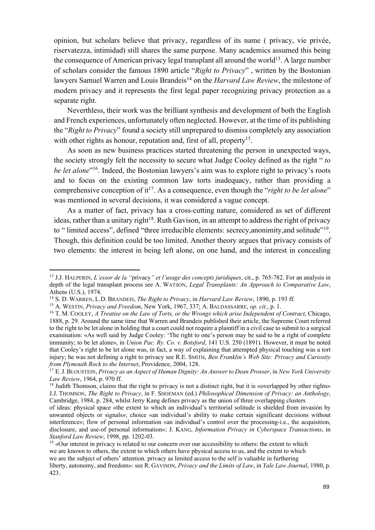opinion, but scholars believe that privacy, regardless of its name ( privacy, vie privée, riservatezza, intimidad) still shares the same purpose. Many academics assumed this being the consequence of American privacy legal transplant all around the world<sup>13</sup>. A large number of scholars consider the famous 1890 article "*Right to Privacy*" , written by the Bostonian lawyers Samuel Warren and Louis Brandeis<sup>14</sup> on the *Harvard Law Review*, the milestone of modern privacy and it represents the first legal paper recognizing privacy protection as a separate right.

Neverthless, their work was the brilliant synthesis and development of both the English and French experiences, unfortunately often neglected. However, at the time of its publishing the "*Right to Privacy*" found a society still unprepared to dismiss completely any association with other rights as honour, reputation and, first of all, property<sup>15</sup>.

As soon as new business practices started threatening the person in unexpected ways, the society strongly felt the necessity to secure what Judge Cooley defined as the right " *to be let alone*<sup>"16</sup>. Indeed, the Bostonian lawyers's aim was to explore right to privacy's roots and to focus on the existing common law torts inadequacy, rather than providing a comprehensive conception of it<sup>17</sup>. As a consequence, even though the "*right to be let alone*" was mentioned in several decisions, it was considered a vague concept.

As a matter of fact, privacy has a cross-cutting nature, considered as set of different ideas, rather than a unitary right<sup>18</sup>. Ruth Gavison, in an attempt to address the right of privacy to " limited access", defined "three irreducible elements: secrecy, anonimity, and solitude"<sup>19</sup>. Though, this definition could be too limited. Another theory argues that privacy consists of two elements: the interest in being left alone, on one hand, and the interest in concealing

<sup>13</sup> J.J. HALPERIN, *L'essor de la "*privacy*" et l'usage des concepts juridiques*, cit., p. 765-782. For an analysis in depth of the legal transplant process see A. WATSON, *Legal Transplants: An Approach to Comparative Law*, Athens (U.S.), 1974.

<sup>14</sup> S. D. WARREN, L.D. BRANDEIS, *The Right to Privacy*, in *Harvard Law Review*, 1890, p. 193 ff. 15 A. WESTIN, *Privacy and Freedom*, New York, 1967, 337; A. BALDASSARRE, *op. cit.*, p. 1.

<sup>&</sup>lt;sup>16</sup> T. M. COOLEY, *A Treatise on the Law of Torts, or the Wrongs which arise Independent of Contract*, Chicago, 1888, p. 29. Around the same time that Warren and Brandeis published their article, the Supreme Court referred to the right to be let alone in holding that a court could not require a plaintiff in a civil case to submit to a surgical examination: «As well said by Judge Cooley: 'The right to one's person may be said to be a right of complete immunity; to be let alone», in *Union Pac. Ry. Co. v. Botsford*, 141 U.S. 250 (1891). However, it must be noted that Cooley's right to be let alone was, in fact, a way of explaining that attempted physical touching was a tort injury; he was not defining a right to privacy see R.E. SMITH, *Ben Franklin's Web Site: Privacy and Curiosity from Plymouth Rock to the Internet*, Providence, 2004, 128.

<sup>17</sup> E.J.BLOUSTEIN, *Privacy as an Aspect of Human Dignity: An Answer to Dean Prosser*, in *New York University Law Review*, 1964, p. 970 ff.

<sup>&</sup>lt;sup>18</sup> Judith Thomson, claims that the right to privacy is not a distinct right, but it is «overlapped by other rights» J.J. THOMSON, *The Right to Privacy*, in F. SHOEMAN (ed.) *Philosophical Dimension of Privacy: an Anthology*, Cambridge, 1984, p. 284, whilst Jerry Kang defines privacy as the union of three overlapping clusters

of ideas: physical space «the extent to which an individual's territorial solitude is shielded from invasión by unwanted objects or signals»; choice «an individual's ability to make certain significant decisions without interference»; flow of personal information «an individual's control over the processing-i.e., the acquisition, disclosure, and use-of personal information»; J. KANG, *Information Privacy in Cyberspace Transactions*, in *Stanford Law Review*, 1998, pp. 1202-03.

<sup>&</sup>lt;sup>19</sup> «Our interest in privacy is related to our concern over our accessibility to others: the extent to which we are known to others, the extent to which others have physical access to us, and the extent to which we are the subject of others' attention. privacy as limited access to the self is valuable in furthering liberty, autonomy, and freedom»: see R. GAVISON, *Privacy and the Limits of Law*, in *Yale Law Journal*, 1980, p. 423.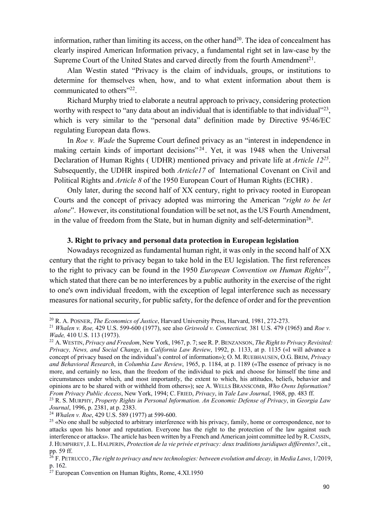information, rather than limiting its access, on the other hand<sup>20</sup>. The idea of concealment has clearly inspired American Information privacy, a fundamental right set in law-case by the Supreme Court of the United States and carved directly from the fourth Amendment<sup>21</sup>.

Alan Westin stated "Privacy is the claim of indviduals, groups, or institutions to determine for themselves when, how, and to what extent information about them is communicated to others"<sup>22</sup>.

Richard Murphy tried to elaborate a neutral approach to privacy, considering protection worthy with respect to "any data about an individual that is identifiable to that individual" $^{23}$ , which is very similar to the "personal data" definition made by Directive 95/46/EC regulating European data flows.

In *Roe v. Wade* the Supreme Court defined privacy as an "interest in independence in making certain kinds of important decisions"<sup>24</sup>. Yet, it was 1948 when the Universal Declaration of Human Rights ( UDHR) mentioned privacy and private life at *Article 1225*. Subsequently, the UDHR inspired both *Article17* of International Covenant on Civil and Political Rights and *Article 8* of the 1950 European Court of Human Rights (ECHR) .

Only later, during the second half of XX century, right to privacy rooted in European Courts and the concept of privacy adopted was mirroring the American "*right to be let alone*". However, its constitutional foundation will be set not, as the US Fourth Amendment, in the value of freedom from the State, but in human dignity and self-determination<sup>26</sup>.

## **3. Right to privacy and personal data protection in European legislation**

Nowadays recognized as fundamental human right, it was only in the second half of XX century that the right to privacy began to take hold in the EU legislation. The first references to the right to privacy can be found in the 1950 *European Convention on Human Rights27*, which stated that there can be no interferences by a public authority in the exercise of the right to one's own individual freedom, with the exception of legal interference such as necessary measures for national security, for public safety, for the defence of order and for the prevention

<sup>20</sup> R. A. POSNER, *The Economics of Justice*, Harvard University Press, Harvard, 1981, 272-273.

<sup>21</sup> *Whalen v. Roe,* 429 U.S. 599-600 (1977), see also *Griswold v. Connecticut,* 381 U.S. 479 (1965) and *Roe v. Wade,* 410 U.S. 113 (1973).

<sup>22</sup> A.WESTIN, *Privacy and Freedom*, New York, 1967, p. 7; see R. P.BENZANSON, *The Right to Privacy Revisited: Privacy, News, and Social Change*, in *California Law Review*, 1992, p. 1133, at p. 1135 («I will advance a concept of privacy based on the individual's control of information»); O. M. RUEBHAUSEN, O.G. BRIM, *Privacy and Behavioral Research*, in *Columbia Law Review*, 1965, p. 1184, at p. 1189 («The essence of privacy is no more, and certainly no less, than the freedom of the individual to pick and choose for himself the time and circumstances under which, and most importantly, the extent to which, his attitudes, beliefs, behavior and opinions are to be shared with or withheld from others»); see A. WELLS BRANSCOMB, *Who Owns Information? From Privacy Public Access*, New York, 1994; C. FRIED, *Privacy*, in *Yale Law Journal*, 1968, pp. 483 ff.

<sup>23</sup> R. S. MURPHY, *Property Rights in Personal Information. An Economic Defense of Privacy*, in *Georgia Law Journal*, 1996, p. 2381, at p. 2383.

<sup>24</sup> *Whalen v. Roe*, 429 U.S. 589 (1977) at 599-600.

<sup>&</sup>lt;sup>25</sup> «No one shall be subjected to arbitrary interference with his privacy, family, home or correspondence, nor to attacks upon his honor and reputation. Everyone has the right to the protection of the law against such interference or attacks». The article has been written by a French and American joint committee led by R.CASSIN, J. HUMPHREY,J. L. HALPERIN, *Protection de la vie privée et privacy: deux traditions juridiques différentes?*, cit., pp. 59 ff.

<sup>26</sup> F. PETRUCCO , *The right to privacy and new technologies: between evolution and decay,* in *Media Laws*, 1/2019, p. 162.

 $27$  European Convention on Human Rights, Rome, 4.XI.1950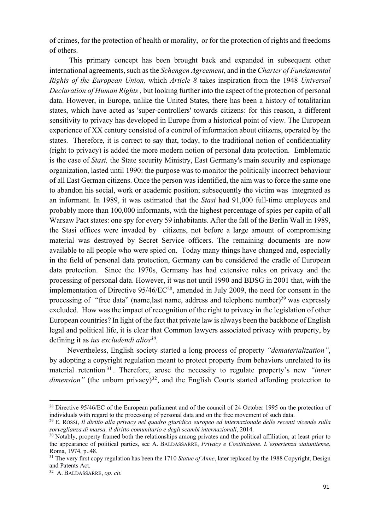of crimes, for the protection of health or morality, or for the protection of rights and freedoms of others.

This primary concept has been brought back and expanded in subsequent other international agreements, such as the *Schengen Agreement*, and in the *Charter of Fundamental Rights of the European Union,* which *Article 8* takes inspiration from the 1948 *Universal Declaration of Human Rights ,* but looking further into the aspect of the protection of personal data. However, in Europe, unlike the United States, there has been a history of totalitarian states, which have acted as 'super-controllers' towards citizens: for this reason, a different sensitivity to privacy has developed in Europe from a historical point of view. The European experience of XX century consisted of a control of information about citizens, operated by the states. Therefore, it is correct to say that, today, to the traditional notion of confidentiality (right to privacy) is added the more modern notion of personal data protection. Emblematic is the case of *Stasi,* the State security Ministry, East Germany's main security and espionage organization, lasted until 1990: the purpose was to monitor the politically incorrect behaviour of all East German citizens. Once the person was identified, the aim was to force the same one to abandon his social, work or academic position; subsequently the victim was integrated as an informant. In 1989, it was estimated that the *Stasi* had 91,000 full-time employees and probably more than 100,000 informants, with the highest percentage of spies per capita of all Warsaw Pact states: one spy for every 59 inhabitants. After the fall of the Berlin Wall in 1989, the Stasi offices were invaded by citizens, not before a large amount of compromising material was destroyed by Secret Service officers. The remaining documents are now available to all people who were spied on. Today many things have changed and, especially in the field of personal data protection, Germany can be considered the cradle of European data protection. Since the 1970s, Germany has had extensive rules on privacy and the processing of personal data. However, it was not until 1990 and BDSG in 2001 that, with the implementation of Directive 95/46/EC<sup>28</sup>, amended in July 2009, the need for consent in the processing of "free data" (name, last name, address and telephone number)<sup>29</sup> was expressly excluded. How was the impact of recognition of the right to privacy in the legislation of other European countries? In light of the fact that private law is always been the backbone of English legal and political life, it is clear that Common lawyers associated privacy with property, by defining it as *ius excludendi alios30*.

Nevertheless, English society started a long process of property *"dematerialization"*, by adopting a copyright regulation meant to protect property from behaviors unrelated to its material retention <sup>31</sup> . Therefore, arose the necessity to regulate property's new *"inner dimension"* (the unborn privacy)<sup>32</sup>, and the English Courts started affording protection to

<sup>&</sup>lt;sup>28</sup> Directive 95/46/EC of the European parliament and of the council of 24 October 1995 on the protection of individuals with regard to the processing of personal data and on the free movement of such data.

<sup>29</sup> E. ROSSI, *Il diritto alla privacy nel quadro giuridico europeo ed internazionale delle recenti vicende sulla sorveglianza di massa, il diritto comunitario e degli scambi internazionali*, 2014.

<sup>&</sup>lt;sup>30</sup> Notably, property framed both the relationships among privates and the political affiliation, at least prior to the appearance of political parties, see A. BALDASSARRE, *Privacy e Costituzione. L'esperienza statunitense*, Roma, 1974, p..48.<br><sup>31</sup> The very first copy regulation has been the 1710 *Statue of Anne*, later replaced by the 1988 Copyright, Design

and Patents Act.

<sup>32</sup> A. BALDASSARRE, *op. cit.*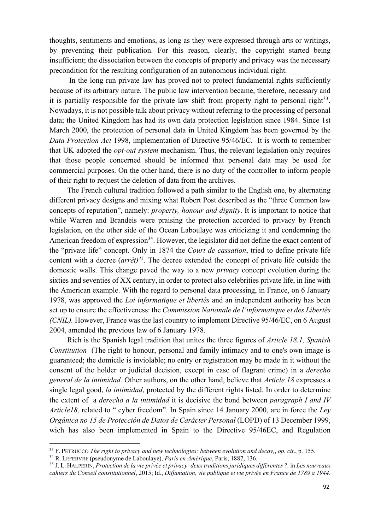thoughts, sentiments and emotions, as long as they were expressed through arts or writings, by preventing their publication. For this reason, clearly, the copyright started being insufficient; the dissociation between the concepts of property and privacy was the necessary precondition for the resulting configuration of an autonomous individual right.

In the long run private law has proved not to protect fundamental rights sufficiently because of its arbitrary nature. The public law intervention became, therefore, necessary and it is partially responsible for the private law shift from property right to personal right $33$ . Nowadays, it is not possible talk about privacy without referring to the processing of personal data; the United Kingdom has had its own data protection legislation since 1984. Since 1st March 2000, the protection of personal data in United Kingdom has been governed by the *Data Protection Act* 1998, implementation of Directive 95/46/EC. It is worth to remember that UK adopted the *opt-out system* mechanism. Thus, the relevant legislation only requires that those people concerned should be informed that personal data may be used for commercial purposes. On the other hand, there is no duty of the controller to inform people of their right to request the deletion of data from the archives.

The French cultural tradition followed a path similar to the English one, by alternating different privacy designs and mixing what Robert Post described as the "three Common law concepts of reputation", namely: *property, honour and dignity*. It is important to notice that while Warren and Brandeis were praising the protection accorded to privacy by French legislation, on the other side of the Ocean Laboulaye was criticizing it and condemning the American freedom of expression<sup>34</sup>. However, the legislator did not define the exact content of the "private life" concept. Only in 1874 the *Court de cassation*, tried to define private life content with a decree (*arrêt)35*. The decree extended the concept of private life outside the domestic walls. This change paved the way to a new *privacy* concept evolution during the sixties and seventies of XX century, in order to protect also celebrities private life, in line with the American example. With the regard to personal data processing, in France, on 6 January 1978, was approved the *Loi informatique et libertés* and an independent authority has been set up to ensure the effectiveness: the *Commission Nationale de l'informatique et des Libertés (CNIL).* However, France was the last country to implement Directive 95/46/EC, on 6 August 2004, amended the previous law of 6 January 1978.

Rich is the Spanish legal tradition that unites the three figures of *Article 18.1, Spanish Constitution* (The right to honour, personal and family intimacy and to one's own image is guaranteed; the domicile is inviolable; no entry or registration may be made in it without the consent of the holder or judicial decision, except in case of flagrant crime) in a *derecho general de la intimidad.* Other authors, on the other hand, believe that *Article 18* expresses a single legal good, *la intimidad*, protected by the different rights listed. In order to determine the extent of a *derecho a la intimidad* it is decisive the bond between *paragraph I and IV Article18,* related to " cyber freedom". In Spain since 14 January 2000, are in force the *Ley Orgánica no 15 de Protecciòn de Datos de Carácter Personal* (LOPD) of 13 December 1999, wich has also been implemented in Spain to the Directive 95/46EC, and Regulation

<sup>33</sup> F. PETRUCCO *The right to privacy and new technologies: between evolution and decay,*, *op. cit*., p. 155.

<sup>34</sup> R. LEFEBVRE (pseudonyme de Laboulaye), *Paris en Amérique*, Paris, 1887, 136.

<sup>35</sup> J. L. HALPERIN, *Protection de la vie privée et privacy: deux traditions juridiques différentes ?,* in *Les nouveaux cahiers du Conseil constitutionnel*, 2015; Id., *Diffamation, vie publique et vie privée en France de 1789 a 1944*.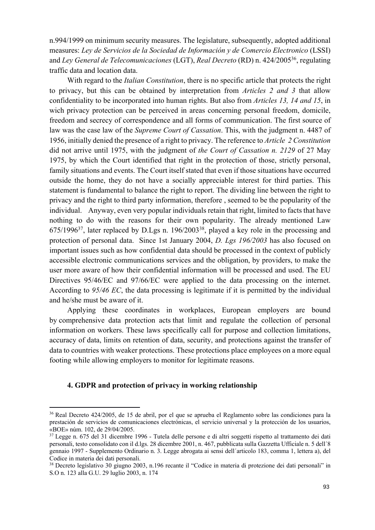n.994/1999 on minimum security measures. The legislature, subsequently, adopted additional measures: *Ley de Servicios de la Sociedad de Información y de Comercio Electronico* (LSSI) and *Ley General de Telecomunicaciones* (LGT), *Real Decreto* (RD) n. 424/200536, regulating traffic data and location data.

With regard to the *Italian Constitution*, there is no specific article that protects the right to privacy, but this can be obtained by interpretation from *Articles 2 and 3* that allow confidentiality to be incorporated into human rights. But also from *Articles 13, 14 and 15*, in wich privacy protection can be perceived in areas concerning personal freedom, domicile, freedom and secrecy of correspondence and all forms of communication. The first source of law was the case law of the *Supreme Court of Cassation*. This, with the judgment n. 4487 of 1956, initially denied the presence of a right to privacy. The reference to *Article 2 Constitution* did not arrive until 1975, with the judgment of *the Court of Cassation n. 2129* of 27 May 1975, by which the Court identified that right in the protection of those, strictly personal, family situations and events. The Court itself stated that even if those situations have occurred outside the home, they do not have a socially appreciable interest for third parties. This statement is fundamental to balance the right to report. The dividing line between the right to privacy and the right to third party information, therefore , seemed to be the popularity of the individual. Anyway, even very popular individuals retain that right, limited to facts that have nothing to do with the reasons for their own popularity. The already mentioned Law 675/199637, later replaced by D.Lgs n. 196/200338, played a key role in the processing and protection of personal data. Since 1st January 2004, *D. Lgs 196/2003* has also focused on important issues such as how confidential data should be processed in the context of publicly accessible electronic communications services and the obligation, by providers, to make the user more aware of how their confidential information will be processed and used. The EU Directives 95/46/EC and 97/66/EC were applied to the data processing on the internet. According to *95/46 EC*, the data processing is legitimate if it is permitted by the individual and he/she must be aware of it.

Applying these coordinates in workplaces, European employers are bound by comprehensive data protection acts that limit and regulate the collection of personal information on workers. These laws specifically call for purpose and collection limitations, accuracy of data, limits on retention of data, security, and protections against the transfer of data to countries with weaker protections. These protections place employees on a more equal footing while allowing employers to monitor for legitimate reasons.

## **4. GDPR and protection of privacy in working relationship**

<sup>36</sup> Real Decreto 424/2005, de 15 de abril, por el que se aprueba el Reglamento sobre las condiciones para la prestación de servicios de comunicaciones electrónicas, el servicio universal y la protección de los usuarios, «BOE» núm. 102, de 29/04/2005.

<sup>&</sup>lt;sup>37</sup> Legge n. 675 del 31 dicembre 1996 - Tutela delle persone e di altri soggetti rispetto al trattamento dei dati personali, testo consolidato con il d.lgs. 28 dicembre 2001, n. 467, pubblicata sulla Gazzetta Ufficiale n. 5 dell´8 gennaio 1997 - Supplemento Ordinario n. 3. Legge abrogata ai sensi dell´articolo 183, comma 1, lettera a), del Codice in materia dei dati personali.

<sup>&</sup>lt;sup>38</sup> Decreto legislativo 30 giugno 2003, n.196 recante il "Codice in materia di protezione dei dati personali" in S.O n. 123 alla G.U. 29 luglio 2003, n. 174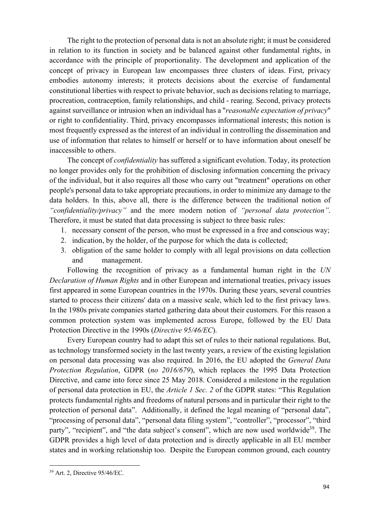The right to the protection of personal data is not an absolute right; it must be considered in relation to its function in society and be balanced against other fundamental rights, in accordance with the principle of proportionality. The development and application of the concept of privacy in European law encompasses three clusters of ideas. First, privacy embodies autonomy interests; it protects decisions about the exercise of fundamental constitutional liberties with respect to private behavior, such as decisions relating to marriage, procreation, contraception, family relationships, and child - rearing. Second, privacy protects against surveillance or intrusion when an individual has a "*reasonable expectation of privacy*" or right to confidentiality. Third, privacy encompasses informational interests; this notion is most frequently expressed as the interest of an individual in controlling the dissemination and use of information that relates to himself or herself or to have information about oneself be inaccessible to others.

The concept of *confidentiality* has suffered a significant evolution. Today, its protection no longer provides only for the prohibition of disclosing information concerning the privacy of the individual, but it also requires all those who carry out "treatment" operations on other people's personal data to take appropriate precautions, in order to minimize any damage to the data holders. In this, above all, there is the difference between the traditional notion of *"confidentiality/privacy"* and the more modern notion of *"personal data protection"*. Therefore, it must be stated that data processing is subject to three basic rules:

- 1. necessary consent of the person, who must be expressed in a free and conscious way;
- 2. indication, by the holder, of the purpose for which the data is collected;
- 3. obligation of the same holder to comply with all legal provisions on data collection and management.

Following the recognition of privacy as a fundamental human right in the *UN Declaration of Human Rights* and in other European and international treaties, privacy issues first appeared in some European countries in the 1970s. During these years, several countries started to process their citizens' data on a massive scale, which led to the first privacy laws. In the 1980s private companies started gathering data about their customers. For this reason a common protection system was implemented across Europe, followed by the EU Data Protection Directive in the 1990s (*Directive 95/46/EC*).

Every European country had to adapt this set of rules to their national regulations. But, as technology transformed society in the last twenty years, a review of the existing legislation on personal data processing was also required. In 2016, the EU adopted the *General Data Protection Regulation*, GDPR (*no 2016/679*), which replaces the 1995 Data Protection Directive, and came into force since 25 May 2018. Considered a milestone in the regulation of personal data protection in EU, the *Article 1 Sec. 2* of the GDPR states: "This Regulation protects fundamental rights and freedoms of natural persons and in particular their right to the protection of personal data". Additionally, it defined the legal meaning of "personal data", "processing of personal data", "personal data filing system", "controller", "processor", "third party", "recipient", and "the data subject's consent", which are now used worldwide<sup>39</sup>. The GDPR provides a high level of data protection and is directly applicable in all EU member states and in working relationship too. Despite the European common ground, each country

<sup>39</sup> Art. 2, Directive 95/46/EC.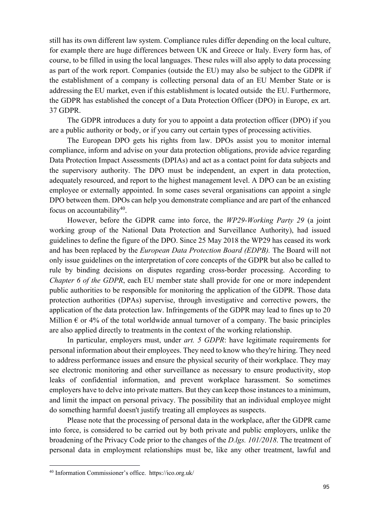still has its own different law system. Compliance rules differ depending on the local culture, for example there are huge differences between UK and Greece or Italy. Every form has, of course, to be filled in using the local languages. These rules will also apply to data processing as part of the work report. Companies (outside the EU) may also be subject to the GDPR if the establishment of a company is collecting personal data of an EU Member State or is addressing the EU market, even if this establishment is located outside the EU. Furthermore, the GDPR has established the concept of a Data Protection Officer (DPO) in Europe, ex art. 37 GDPR.

The GDPR introduces a duty for you to appoint a data protection officer (DPO) if you are a public authority or body, or if you carry out certain types of processing activities.

The European DPO gets his rights from law. DPOs assist you to monitor internal compliance, inform and advise on your data protection obligations, provide advice regarding Data Protection Impact Assessments (DPIAs) and act as a contact point for data subjects and the supervisory authority. The DPO must be independent, an expert in data protection, adequately resourced, and report to the highest management level. A DPO can be an existing employee or externally appointed. In some cases several organisations can appoint a single DPO between them. DPOs can help you demonstrate compliance and are part of the enhanced focus on accountability40.

However, before the GDPR came into force, the *WP29-Working Party 29* (a joint working group of the National Data Protection and Surveillance Authority), had issued guidelines to define the figure of the DPO. Since 25 May 2018 the WP29 has ceased its work and has been replaced by the *European Data Protection Board (EDPB).* The Board will not only issue guidelines on the interpretation of core concepts of the GDPR but also be called to rule by binding decisions on disputes regarding cross-border processing. According to *Chapter 6 of the GDPR*, each EU member state shall provide for one or more independent public authorities to be responsible for monitoring the application of the GDPR. Those data protection authorities (DPAs) supervise, through investigative and corrective powers, the application of the data protection law. Infringements of the GDPR may lead to fines up to 20 Million  $\epsilon$  or 4% of the total worldwide annual turnover of a company. The basic principles are also applied directly to treatments in the context of the working relationship.

In particular, employers must, under *art. 5 GDPR*: have legitimate requirements for personal information about their employees. They need to know who they're hiring. They need to address performance issues and ensure the physical security of their workplace. They may see electronic monitoring and other surveillance as necessary to ensure productivity, stop leaks of confidential information, and prevent workplace harassment. So sometimes employers have to delve into private matters. But they can keep those instances to a minimum, and limit the impact on personal privacy. The possibility that an individual employee might do something harmful doesn't justify treating all employees as suspects.

Please note that the processing of personal data in the workplace, after the GDPR came into force, is considered to be carried out by both private and public employers, unlike the broadening of the Privacy Code prior to the changes of the *D.lgs. 101/2018*. The treatment of personal data in employment relationships must be, like any other treatment, lawful and

<sup>40</sup> Information Commissioner's office. https://ico.org.uk/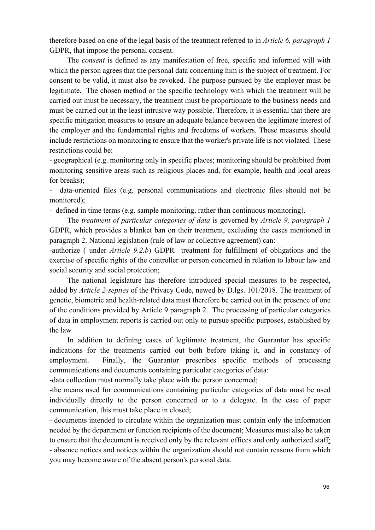therefore based on one of the legal basis of the treatment referred to in *Article 6, paragraph 1*  GDPR, that impose the personal consent.

The *consent* is defined as any manifestation of free, specific and informed will with which the person agrees that the personal data concerning him is the subject of treatment. For consent to be valid, it must also be revoked. The purpose pursued by the employer must be legitimate. The chosen method or the specific technology with which the treatment will be carried out must be necessary, the treatment must be proportionate to the business needs and must be carried out in the least intrusive way possible. Therefore, it is essential that there are specific mitigation measures to ensure an adequate balance between the legitimate interest of the employer and the fundamental rights and freedoms of workers. These measures should include restrictions on monitoring to ensure that the worker's private life is not violated. These restrictions could be:

- geographical (e.g. monitoring only in specific places; monitoring should be prohibited from monitoring sensitive areas such as religious places and, for example, health and local areas for breaks);

- data-oriented files (e.g. personal communications and electronic files should not be monitored);

- defined in time terms (e.g. sample monitoring, rather than continuous monitoring).

The *treatment of particular categories of data* is governed by *Article 9, paragraph 1* GDPR, which provides a blanket ban on their treatment, excluding the cases mentioned in paragraph 2. National legislation (rule of law or collective agreement) can:

-authorize ( under *Article 9.2.b*) GDPR treatment for fulfillment of obligations and the exercise of specific rights of the controller or person concerned in relation to labour law and social security and social protection;

The national legislature has therefore introduced special measures to be respected, added by *Article 2-septies* of the Privacy Code, newed by D.lgs. 101/2018. The treatment of genetic, biometric and health-related data must therefore be carried out in the presence of one of the conditions provided by Article 9 paragraph 2. The processing of particular categories of data in employment reports is carried out only to pursue specific purposes, established by the law

In addition to defining cases of legitimate treatment, the Guarantor has specific indications for the treatments carried out both before taking it, and in constancy of employment. Finally, the Guarantor prescribes specific methods of processing communications and documents containing particular categories of data:

-data collection must normally take place with the person concerned;

-the means used for communications containing particular categories of data must be used individually directly to the person concerned or to a delegate. In the case of paper communication, this must take place in closed;

- documents intended to circulate within the organization must contain only the information needed by the department or function recipients of the document; Measures must also be taken to ensure that the document is received only by the relevant offices and only authorized staff; - absence notices and notices within the organization should not contain reasons from which you may become aware of the absent person's personal data.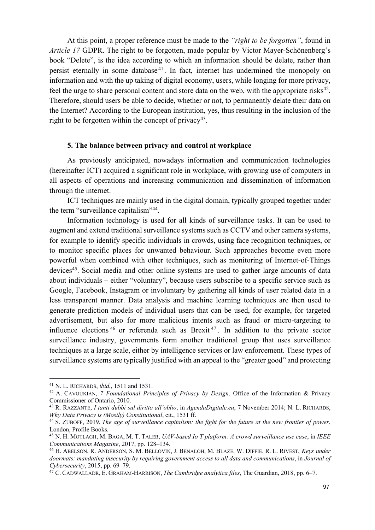At this point, a proper reference must be made to the *"right to be forgotten"*, found in *Article 17* GDPR. The right to be forgotten, made popular by Victor Mayer-Schönenberg's book "Delete", is the idea according to which an information should be delate, rather than persist eternally in some database<sup>41</sup>. In fact, internet has undermined the monopoly on information and with the up taking of digital economy, users, while longing for more privacy, feel the urge to share personal content and store data on the web, with the appropriate risks<sup>42</sup>. Therefore, should users be able to decide, whether or not, to permanently delate their data on the Internet? According to the European institution, yes, thus resulting in the inclusion of the right to be forgotten within the concept of privacy<sup>43</sup>.

#### **5. The balance between privacy and control at workplace**

As previously anticipated, nowadays information and communication technologies (hereinafter ICT) acquired a significant role in workplace, with growing use of computers in all aspects of operations and increasing communication and dissemination of information through the internet.

ICT techniques are mainly used in the digital domain, typically grouped together under the term "surveillance capitalism"44.

Information technology is used for all kinds of surveillance tasks. It can be used to augment and extend traditional surveillance systems such as CCTV and other camera systems, for example to identify specific individuals in crowds, using face recognition techniques, or to monitor specific places for unwanted behaviour. Such approaches become even more powerful when combined with other techniques, such as monitoring of Internet-of-Things devices<sup>45</sup>. Social media and other online systems are used to gather large amounts of data about individuals – either "voluntary", because users subscribe to a specific service such as Google, Facebook, Instagram or involuntary by gathering all kinds of user related data in a less transparent manner. Data analysis and machine learning techniques are then used to generate prediction models of individual users that can be used, for example, for targeted advertisement, but also for more malicious intents such as fraud or micro-targeting to influence elections  $46$  or referenda such as Brexit<sup> $47$ </sup>. In addition to the private sector surveillance industry, governments form another traditional group that uses surveillance techniques at a large scale, either by intelligence services or law enforcement. These types of surveillance systems are typically justified with an appeal to the "greater good" and protecting

<sup>41</sup> N. L. RICHARDS, *ibid.*, 1511 and 1531.

<sup>42</sup> A. CAVOUKIAN, *7 Foundational Principles of Privacy by Design,* Office of the Information & Privacy Commissioner of Ontario, 2010.

<sup>43</sup> R. RAZZANTE, *I tanti dubbi sul diritto all'oblio*, in *AgendaDigitale.eu*, 7 November 2014; N. L. RICHARDS, *Why Data Privacy is (Mostly) Constitutional, cit., 1531 ff.*<br><sup>44</sup> S. ZUBOFF, 2019, *The age of surveillance capitalism: the fight for the future at the new frontier of power,* 

London, Profile Books.

<sup>45</sup> N. H. MOTLAGH, M. BAGA, M. T. TALEB, *UAV-based Io T platform: A crowd surveillance use case*, in *IEEE Communications Magazine*, 2017, pp. 128–134.

<sup>46</sup> H. ABELSON, R. ANDERSON, S. M. BELLOVIN, J. BENALOH, M. BLAZE, W. DIFFIE, R. L. RIVEST, *Keys under doormats: mandating insecurity by requiring government access to all data and communications*, in *Journal of Cybersecurity*, 2015, pp. 69–79.

<sup>47</sup> C. CADWALLADR, E. GRAHAM-HARRISON, *The Cambridge analytica files*, The Guardian, 2018, pp. 6–7.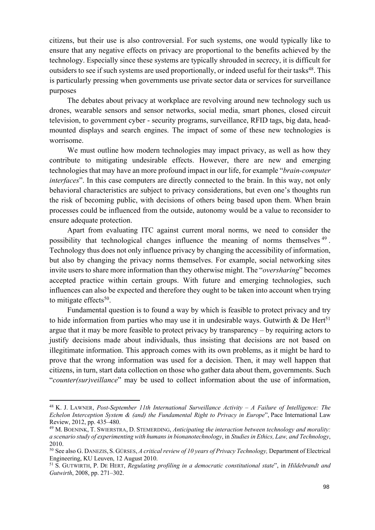citizens, but their use is also controversial. For such systems, one would typically like to ensure that any negative effects on privacy are proportional to the benefits achieved by the technology. Especially since these systems are typically shrouded in secrecy, it is difficult for outsiders to see if such systems are used proportionally, or indeed useful for their tasks<sup>48</sup>. This is particularly pressing when governments use private sector data or services for surveillance purposes

The debates about privacy at workplace are revolving around new technology such us drones, wearable sensors and sensor networks, social media, smart phones, closed circuit television, to government cyber - security programs, surveillance, RFID tags, big data, headmounted displays and search engines. The impact of some of these new technologies is worrisome.

We must outline how modern technologies may impact privacy, as well as how they contribute to mitigating undesirable effects. However, there are new and emerging technologies that may have an more profound impact in our life, for example "*brain-computer interfaces*". In this case computers are directly connected to the brain. In this way, not only behavioral characteristics are subject to privacy considerations, but even one's thoughts run the risk of becoming public, with decisions of others being based upon them. When brain processes could be influenced from the outside, autonomy would be a value to reconsider to ensure adequate protection.

Apart from evaluating ITC against current moral norms, we need to consider the possibility that technological changes influence the meaning of norms themselves <sup>49</sup> . Technology thus does not only influence privacy by changing the accessibility of information, but also by changing the privacy norms themselves. For example, social networking sites invite users to share more information than they otherwise might. The "*oversharing*" becomes accepted practice within certain groups. With future and emerging technologies, such influences can also be expected and therefore they ought to be taken into account when trying to mitigate effects $50$ .

Fundamental question is to found a way by which is feasible to protect privacy and try to hide information from parties who may use it in undesirable ways. Gutwirth & De Hert<sup>51</sup> argue that it may be more feasible to protect privacy by transparency – by requiring actors to justify decisions made about individuals, thus insisting that decisions are not based on illegitimate information. This approach comes with its own problems, as it might be hard to prove that the wrong information was used for a decision. Then, it may well happen that citizens, in turn, start data collection on those who gather data about them, governments. Such "*counter(sur)veillance*" may be used to collect information about the use of information,

<sup>48</sup> K. J. LAWNER, *Post-September 11th International Surveillance Activity – A Failure of Intelligence: The Echelon Interception System & (and) the Fundamental Right to Privacy in Europe*", Pace International Law Review, 2012, pp. 435–480.

<sup>49</sup> M. BOENINK, T. SWIERSTRA, D. STEMERDING, *Anticipating the interaction between technology and morality: a scenario study of experimenting with humans in bionanotechnology*, in *Studies in Ethics, Law, and Technology*, 2010. 50 See also G. DANEZIS, S. GÜRSES, *A critical review of 10 years of Privacy Technology,* Department of Electrical

Engineering, KU Leuven, 12 August 2010.

<sup>51</sup> S. GUTWIRTH, P. DE HERT, *Regulating profiling in a democratic constitutional state*", in *Hildebrandt and Gutwirth*, 2008, pp. 271–302.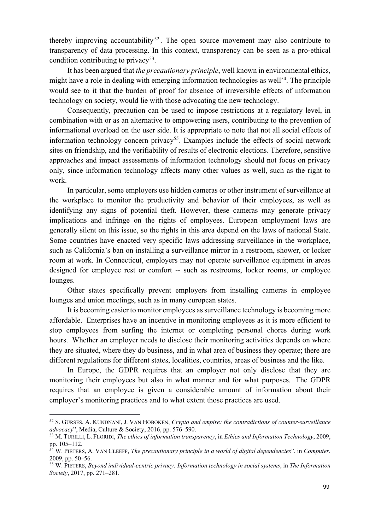thereby improving accountability<sup>52</sup>. The open source movement may also contribute to transparency of data processing. In this context, transparency can be seen as a pro-ethical condition contributing to privacy<sup>53</sup>.

It has been argued that *the precautionary principle*, well known in environmental ethics, might have a role in dealing with emerging information technologies as well<sup>54</sup>. The principle would see to it that the burden of proof for absence of irreversible effects of information technology on society, would lie with those advocating the new technology.

Consequently, precaution can be used to impose restrictions at a regulatory level, in combination with or as an alternative to empowering users, contributing to the prevention of informational overload on the user side. It is appropriate to note that not all social effects of information technology concern privacy<sup>55</sup>. Examples include the effects of social network sites on friendship, and the verifiability of results of electronic elections. Therefore, sensitive approaches and impact assessments of information technology should not focus on privacy only, since information technology affects many other values as well, such as the right to work.

In particular, some employers use hidden cameras or other instrument of surveillance at the workplace to monitor the productivity and behavior of their employees, as well as identifying any signs of potential theft. However, these cameras may generate privacy implications and infringe on the rights of employees. European employment laws are generally silent on this issue, so the rights in this area depend on the laws of national State. Some countries have enacted very specific laws addressing surveillance in the workplace, such as California's ban on installing a surveillance mirror in a restroom, shower, or locker room at work. In Connecticut, employers may not operate surveillance equipment in areas designed for employee rest or comfort -- such as restrooms, locker rooms, or employee lounges.

Other states specifically prevent employers from installing cameras in employee lounges and union meetings, such as in many european states.

It is becoming easier to monitor employees as surveillance technology is becoming more affordable. Enterprises have an incentive in monitoring employees as it is more efficient to stop employees from surfing the internet or completing personal chores during work hours. Whether an employer needs to disclose their monitoring activities depends on where they are situated, where they do business, and in what area of business they operate; there are different regulations for different states, localities, countries, areas of business and the like.

In Europe, the GDPR requires that an employer not only disclose that they are monitoring their employees but also in what manner and for what purposes. The GDPR requires that an employee is given a considerable amount of information about their employer's monitoring practices and to what extent those practices are used.

<sup>52</sup> S. GÜRSES, A. KUNDNANI, J. VAN HOBOKEN, *Crypto and empire: the contradictions of counter-surveillance advocacy*", Media, Culture & Society, 2016, pp. 576–590.

<sup>53</sup> M. TURILLI, L. FLORIDI, *The ethics of information transparency*, in *Ethics and Information Technology*, 2009, pp. 105–112.

<sup>54</sup> W. PIETERS, A. VAN CLEEFF, *The precautionary principle in a world of digital dependencies*", in *Computer*, 2009, pp. 50–56.

<sup>55</sup> W. PIETERS, *Beyond individual-centric privacy: Information technology in social systems*, in *The Information Society*, 2017, pp. 271–281.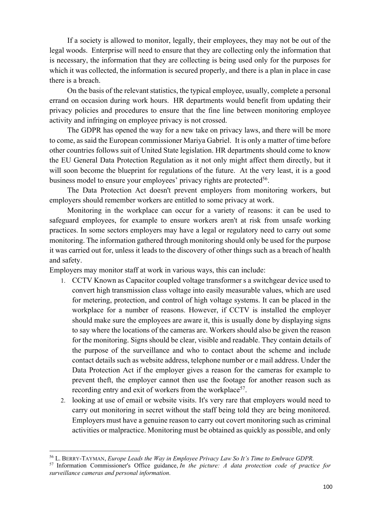If a society is allowed to monitor, legally, their employees, they may not be out of the legal woods. Enterprise will need to ensure that they are collecting only the information that is necessary, the information that they are collecting is being used only for the purposes for which it was collected, the information is secured properly, and there is a plan in place in case there is a breach.

On the basis of the relevant statistics, the typical employee, usually, complete a personal errand on occasion during work hours. HR departments would benefit from updating their privacy policies and procedures to ensure that the fine line between monitoring employee activity and infringing on employee privacy is not crossed.

The GDPR has opened the way for a new take on privacy laws, and there will be more to come, as said the European commissioner Mariya Gabriel. It is only a matter of time before other countries follows suit of United State legislation. HR departments should come to know the EU General Data Protection Regulation as it not only might affect them directly, but it will soon become the blueprint for regulations of the future. At the very least, it is a good business model to ensure your employees' privacy rights are protected<sup>56</sup>.

The Data Protection Act doesn't prevent employers from monitoring workers, but employers should remember workers are entitled to some privacy at work.

Monitoring in the workplace can occur for a variety of reasons: it can be used to safeguard employees, for example to ensure workers aren't at risk from unsafe working practices. In some sectors employers may have a legal or regulatory need to carry out some monitoring. The information gathered through monitoring should only be used for the purpose it was carried out for, unless it leads to the discovery of other things such as a breach of health and safety.

Employers may monitor staff at work in various ways, this can include:

- 1. CCTV Known as Capacitor coupled voltage transformer s a switchgear device used to convert high transmission class voltage into easily measurable values, which are used for metering, protection, and control of high voltage systems. It can be placed in the workplace for a number of reasons. However, if CCTV is installed the employer should make sure the employees are aware it, this is usually done by displaying signs to say where the locations of the cameras are. Workers should also be given the reason for the monitoring. Signs should be clear, visible and readable. They contain details of the purpose of the surveillance and who to contact about the scheme and include contact details such as website address, telephone number or e mail address. Under the Data Protection Act if the employer gives a reason for the cameras for example to prevent theft, the employer cannot then use the footage for another reason such as recording entry and exit of workers from the workplace<sup>57</sup>.
- 2. looking at use of email or website visits. It's very rare that employers would need to carry out monitoring in secret without the staff being told they are being monitored. Employers must have a genuine reason to carry out covert monitoring such as criminal activities or malpractice. Monitoring must be obtained as quickly as possible, and only

<sup>56</sup> L. BERRY-TAYMAN, *Europe Leads the Way in Employee Privacy Law So It's Time to Embrace GDPR.*

<sup>57</sup> Information Commissioner's Office guidance, *In the picture: A data protection code of practice for surveillance cameras and personal information*.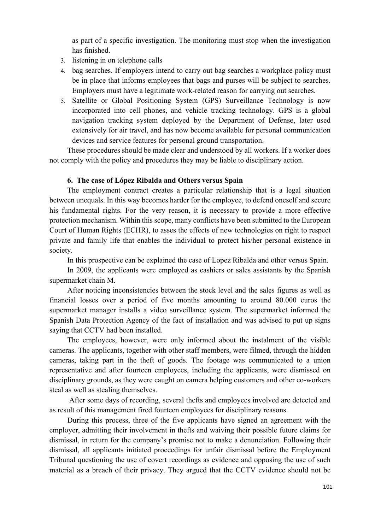as part of a specific investigation. The monitoring must stop when the investigation has finished.

- 3. listening in on telephone calls
- 4. bag searches. If employers intend to carry out bag searches a workplace policy must be in place that informs employees that bags and purses will be subject to searches. Employers must have a legitimate work-related reason for carrying out searches.
- 5. Satellite or Global Positioning System (GPS) Surveillance Technology is now incorporated into cell phones, and vehicle tracking technology. GPS is a global navigation tracking system deployed by the Department of Defense, later used extensively for air travel, and has now become available for personal communication devices and service features for personal ground transportation.

These procedures should be made clear and understood by all workers. If a worker does not comply with the policy and procedures they may be liable to disciplinary action.

#### **6. The case of López Ribalda and Others versus Spain**

The employment contract creates a particular relationship that is a legal situation between unequals. In this way becomes harder for the employee, to defend oneself and secure his fundamental rights. For the very reason, it is necessary to provide a more effective protection mechanism. Within this scope, many conflicts have been submitted to the European Court of Human Rights (ECHR), to asses the effects of new technologies on right to respect private and family life that enables the individual to protect his/her personal existence in society.

In this prospective can be explained the case of Lopez Ribalda and other versus Spain.

In 2009, the applicants were employed as cashiers or sales assistants by the Spanish supermarket chain M.

After noticing inconsistencies between the stock level and the sales figures as well as financial losses over a period of five months amounting to around 80.000 euros the supermarket manager installs a video surveillance system. The supermarket informed the Spanish Data Protection Agency of the fact of installation and was advised to put up signs saying that CCTV had been installed.

The employees, however, were only informed about the instalment of the visible cameras. The applicants, together with other staff members, were filmed, through the hidden cameras, taking part in the theft of goods. The footage was communicated to a union representative and after fourteen employees, including the applicants, were dismissed on disciplinary grounds, as they were caught on camera helping customers and other co-workers steal as well as stealing themselves.

After some days of recording, several thefts and employees involved are detected and as result of this management fired fourteen employees for disciplinary reasons.

During this process, three of the five applicants have signed an agreement with the employer, admitting their involvement in thefts and waiving their possible future claims for dismissal, in return for the company's promise not to make a denunciation. Following their dismissal, all applicants initiated proceedings for unfair dismissal before the Employment Tribunal questioning the use of covert recordings as evidence and opposing the use of such material as a breach of their privacy. They argued that the CCTV evidence should not be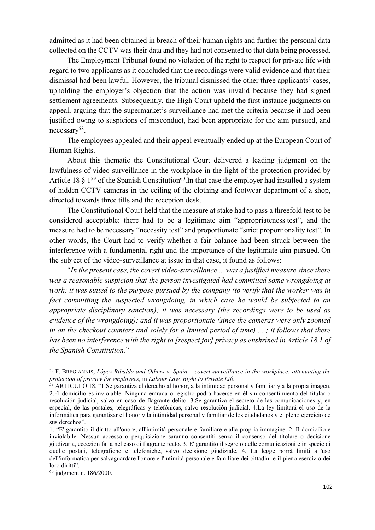admitted as it had been obtained in breach of their human rights and further the personal data collected on the CCTV was their data and they had not consented to that data being processed.

The Employment Tribunal found no violation of the right to respect for private life with regard to two applicants as it concluded that the recordings were valid evidence and that their dismissal had been lawful. However, the tribunal dismissed the other three applicants' cases, upholding the employer's objection that the action was invalid because they had signed settlement agreements. Subsequently, the High Court upheld the first-instance judgments on appeal, arguing that the supermarket's surveillance had met the criteria because it had been justified owing to suspicions of misconduct, had been appropriate for the aim pursued, and necessary58.

The employees appealed and their appeal eventually ended up at the European Court of Human Rights.

About this thematic the Constitutional Court delivered a leading judgment on the lawfulness of video-surveillance in the workplace in the light of the protection provided by Article 18  $\S$  1<sup>59</sup> of the Spanish Constitution<sup>60</sup>. In that case the employer had installed a system of hidden CCTV cameras in the ceiling of the clothing and footwear department of a shop, directed towards three tills and the reception desk.

The Constitutional Court held that the measure at stake had to pass a threefold test to be considered acceptable: there had to be a legitimate aim "appropriateness test", and the measure had to be necessary "necessity test" and proportionate "strict proportionality test". In other words, the Court had to verify whether a fair balance had been struck between the interference with a fundamental right and the importance of the legitimate aim pursued. On the subject of the video-surveillance at issue in that case, it found as follows:

"*In the present case, the covert video-surveillance ... was a justified measure since there was a reasonable suspicion that the person investigated had committed some wrongdoing at work; it was suited to the purpose pursued by the company (to verify that the worker was in fact committing the suspected wrongdoing, in which case he would be subjected to an appropriate disciplinary sanction); it was necessary (the recordings were to be used as evidence of the wrongdoing); and it was proportionate (since the cameras were only zoomed in on the checkout counters and solely for a limited period of time) ... ; it follows that there has been no interference with the right to [respect for] privacy as enshrined in Article 18.1 of the Spanish Constitution.*"

<sup>58</sup> F. BREGIANNIS, *López Ribalda and Others v. Spain – covert surveillance in the workplace: attenuating the* 

<sup>&</sup>lt;sup>59</sup> ARTICULO 18. "1.Se garantiza el derecho al honor, a la intimidad personal y familiar y a la propia imagen. 2.El domicilio es inviolable. Ninguna entrada o registro podrá hacerse en él sin consentimiento del titular o resolución judicial, salvo en caso de flagrante delito. 3.Se garantiza el secreto de las comunicaciones y, en especial, de las postales, telegráficas y telefónicas, salvo resolución judicial. 4.La ley limitará el uso de la informática para garantizar el honor y la intimidad personal y familiar de los ciudadanos y el pleno ejercicio de sus derechos".

<sup>1. &</sup>quot;E' garantito il diritto all'onore, all'intimità personale e familiare e alla propria immagine. 2. Il domicilio è inviolabile. Nessun accesso o perquisizione saranno consentiti senza il consenso del titolare o decisione giudizaria, eccezion fatta nel caso di flagrante reato. 3. E' garantito il segreto delle comunicazioni e in specie di quelle postali, telegrafiche e telefoniche, salvo decisione giudiziale. 4. La legge porrà limiti all'uso dell'informatica per salvaguardare l'onore e l'intimità personale e familiare dei cittadini e il pieno esercizio dei loro diritti".

<sup>60</sup> judgment n. 186/2000.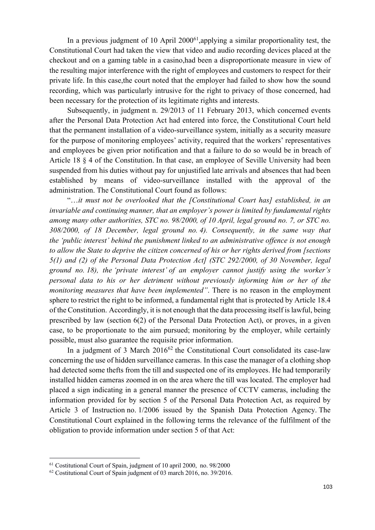In a previous judgment of 10 April  $2000<sup>61</sup>$ , applying a similar proportionality test, the Constitutional Court had taken the view that video and audio recording devices placed at the checkout and on a gaming table in a casino,had been a disproportionate measure in view of the resulting major interference with the right of employees and customers to respect for their private life. In this case,the court noted that the employer had failed to show how the sound recording, which was particularly intrusive for the right to privacy of those concerned, had been necessary for the protection of its legitimate rights and interests.

Subsequently, in judgment n. 29/2013 of 11 February 2013, which concerned events after the Personal Data Protection Act had entered into force, the Constitutional Court held that the permanent installation of a video-surveillance system, initially as a security measure for the purpose of monitoring employees' activity, required that the workers' representatives and employees be given prior notification and that a failure to do so would be in breach of Article 18 § 4 of the Constitution. In that case, an employee of Seville University had been suspended from his duties without pay for unjustified late arrivals and absences that had been established by means of video-surveillance installed with the approval of the administration. The Constitutional Court found as follows:

"…*it must not be overlooked that the [Constitutional Court has] established, in an invariable and continuing manner, that an employer's power is limited by fundamental rights among many other authorities, STC no. 98/2000, of 10 April, legal ground no. 7, or STC no. 308/2000, of 18 December, legal ground no. 4). Consequently, in the same way that the 'public interest' behind the punishment linked to an administrative offence is not enough to allow the State to deprive the citizen concerned of his or her rights derived from [sections 5(1) and (2) of the Personal Data Protection Act] (STC 292/2000, of 30 November, legal ground no. 18), the 'private interest' of an employer cannot justify using the worker's personal data to his or her detriment without previously informing him or her of the monitoring measures that have been implemented"*. There is no reason in the employment sphere to restrict the right to be informed, a fundamental right that is protected by Article 18.4 of the Constitution. Accordingly, it is not enough that the data processing itself is lawful, being prescribed by law (section 6(2) of the Personal Data Protection Act), or proves, in a given case, to be proportionate to the aim pursued; monitoring by the employer, while certainly possible, must also guarantee the requisite prior information.

In a judgment of 3 March  $2016^{62}$  the Constitutional Court consolidated its case-law concerning the use of hidden surveillance cameras. In this case the manager of a clothing shop had detected some thefts from the till and suspected one of its employees. He had temporarily installed hidden cameras zoomed in on the area where the till was located. The employer had placed a sign indicating in a general manner the presence of CCTV cameras, including the information provided for by section 5 of the Personal Data Protection Act, as required by Article 3 of Instruction no. 1/2006 issued by the Spanish Data Protection Agency. The Constitutional Court explained in the following terms the relevance of the fulfilment of the obligation to provide information under section 5 of that Act:

<sup>61</sup> Costitutional Court of Spain, judgment of 10 april 2000, no. 98/2000

<sup>62</sup> Costitutional Court of Spain judgment of 03 march 2016, no. 39/2016.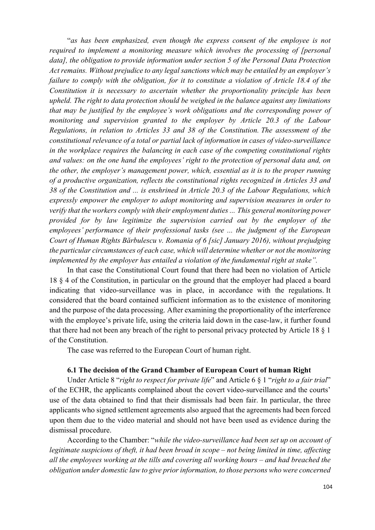"*as has been emphasized, even though the express consent of the employee is not required to implement a monitoring measure which involves the processing of [personal data], the obligation to provide information under section 5 of the Personal Data Protection Act remains. Without prejudice to any legal sanctions which may be entailed by an employer's failure to comply with the obligation, for it to constitute a violation of Article 18.4 of the Constitution it is necessary to ascertain whether the proportionality principle has been upheld. The right to data protection should be weighed in the balance against any limitations that may be justified by the employee's work obligations and the corresponding power of monitoring and supervision granted to the employer by Article 20.3 of the Labour Regulations, in relation to Articles 33 and 38 of the Constitution. The assessment of the constitutional relevance of a total or partial lack of information in cases of video-surveillance in the workplace requires the balancing in each case of the competing constitutional rights and values: on the one hand the employees' right to the protection of personal data and, on the other, the employer's management power, which, essential as it is to the proper running of a productive organization, reflects the constitutional rights recognized in Articles 33 and 38 of the Constitution and ... is enshrined in Article 20.3 of the Labour Regulations, which expressly empower the employer to adopt monitoring and supervision measures in order to verify that the workers comply with their employment duties ... This general monitoring power provided for by law legitimize the supervision carried out by the employer of the employees' performance of their professional tasks (see ... the judgment of the European Court of Human Rights Bărbulescu v. Romania of 6 [sic] January 2016), without prejudging the particular circumstances of each case, which will determine whether or not the monitoring implemented by the employer has entailed a violation of the fundamental right at stake".*

In that case the Constitutional Court found that there had been no violation of Article 18 § 4 of the Constitution, in particular on the ground that the employer had placed a board indicating that video-surveillance was in place, in accordance with the regulations. It considered that the board contained sufficient information as to the existence of monitoring and the purpose of the data processing. After examining the proportionality of the interference with the employee's private life, using the criteria laid down in the case-law, it further found that there had not been any breach of the right to personal privacy protected by Article 18 § 1 of the Constitution.

The case was referred to the European Court of human right.

## **6.1 The decision of the Grand Chamber of European Court of human Right**

Under Article 8 "*right to respect for private life*" and Article 6 § 1 "*right to a fair trial*" of the ECHR, the applicants complained about the covert video-surveillance and the courts' use of the data obtained to find that their dismissals had been fair. In particular, the three applicants who signed settlement agreements also argued that the agreements had been forced upon them due to the video material and should not have been used as evidence during the dismissal procedure.

According to the Chamber: "*while the video-surveillance had been set up on account of legitimate suspicions of theft, it had been broad in scope – not being limited in time, affecting all the employees working at the tills and covering all working hours – and had breached the obligation under domestic law to give prior information, to those persons who were concerned*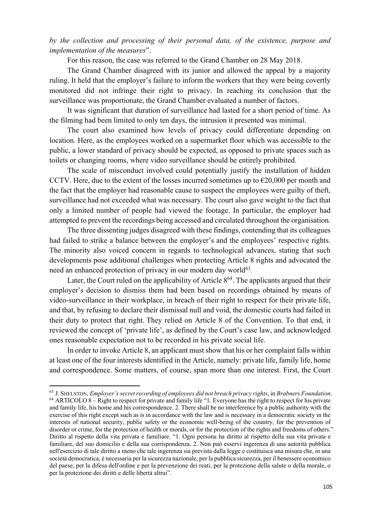*by the collection and processing of their personal data, of the existence, purpose and implementation of the measures*".

For this reason, the case was referred to the Grand Chamber on 28 May 2018.

The Grand Chamber disagreed with its junior and allowed the appeal by a majority ruling. It held that the employer's failure to inform the workers that they were being covertly monitored did not infringe their right to privacy. In reaching its conclusion that the surveillance was proportionate, the Grand Chamber evaluated a number of factors.

It was significant that duration of surveillance had lasted for a short period of time. As the filming had been limited to only ten days, the intrusion it presented was minimal.

The court also examined how levels of privacy could differentiate depending on location. Here, as the employees worked on a supermarket floor which was accessible to the public, a lower standard of privacy should be expected, as opposed to private spaces such as toilets or changing rooms, where video surveillance should be entirely prohibited.

The scale of misconduct involved could potentially justify the installation of hidden CCTV. Here, due to the extent of the losses incurred sometimes up to  $\epsilon$ 20,000 per month and the fact that the employer had reasonable cause to suspect the employees were guilty of theft, surveillance had not exceeded what was necessary. The court also gave weight to the fact that only a limited number of people had viewed the footage. In particular, the employer had attempted to prevent the recordings being accessed and circulated throughout the organisation.

The three dissenting judges disagreed with these findings, contending that its colleagues had failed to strike a balance between the employer's and the employees' respective rights. The minority also voiced concern in regards to technological advances, stating that such developments pose additional challenges when protecting Article 8 rights and advocated the need an enhanced protection of privacy in our modern day world<sup>63</sup>.

Later, the Court ruled on the applicability of Article  $8^{64}$ . The applicants argued that their employer's decision to dismiss them had been based on recordings obtained by means of video-surveillance in their workplace, in breach of their right to respect for their private life, and that, by refusing to declare their dismissal null and void, the domestic courts had failed in their duty to protect that right. They relied on Article 8 of the Convention. To that end, it reviewed the concept of 'private life', as defined by the Court's case law, and acknowledged ones reasonable expectation not to be recorded in his private social life.

In order to invoke Article 8, an applicant must show that his or her complaint falls within at least one of the four interests identified in the Article, namely: private life, family life, home and correspondence. Some matters, of course, span more than one interest. First, the Court

<sup>63</sup> J. SHELSTON, *Employer's secret recording of employees did not breach privacy rights*, in *Brabners Foundation*. <sup>64</sup> ARTICOLO 8 – Right to respect for private and family life "1. Everyone has the right to respect for his private and family life, his home and his correspondence. 2. There shall be no interference by a public authority with the exercise of this right except such as is in accordance with the law and is necessary in a democratic society in the interests of national security, public safety or the economic well-being of the country, for the prevention of disorder or crime, for the protection of health or morals, or for the protection of the rights and freedoms of others." Diritto al rispetto della vita privata e familiare. "1. Ogni persona ha diritto al rispetto della sua vita privata e familiare, del suo domicilio e della sua corrispondenza. 2. Non può esservi ingerenza di una autorità pubblica nell'esercizio di tale diritto a meno che tale ingerenza sia prevista dalla legge e costituisca una misura che, in una società democratica, è necessaria per la sicurezza nazionale, per la pubblica sicurezza, per il benessere economico del paese, per la difesa dell'ordine e per la prevenzione dei reati, per la protezione della salute o della morale, o per la protezione dei diritti e delle libertà altrui".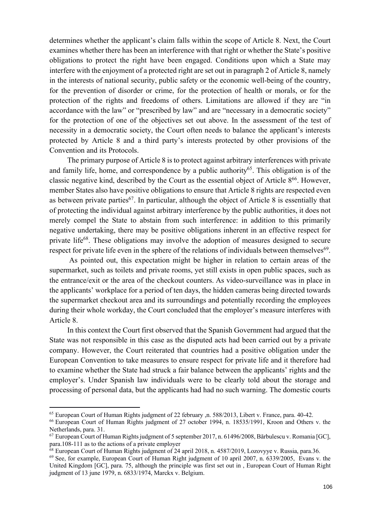determines whether the applicant's claim falls within the scope of Article 8. Next, the Court examines whether there has been an interference with that right or whether the State's positive obligations to protect the right have been engaged. Conditions upon which a State may interfere with the enjoyment of a protected right are set out in paragraph 2 of Article 8, namely in the interests of national security, public safety or the economic well-being of the country, for the prevention of disorder or crime, for the protection of health or morals, or for the protection of the rights and freedoms of others. Limitations are allowed if they are "in accordance with the law" or "prescribed by law" and are "necessary in a democratic society" for the protection of one of the objectives set out above. In the assessment of the test of necessity in a democratic society, the Court often needs to balance the applicant's interests protected by Article 8 and a third party's interests protected by other provisions of the Convention and its Protocols.

The primary purpose of Article 8 is to protect against arbitrary interferences with private and family life, home, and correspondence by a public authority<sup>65</sup>. This obligation is of the classic negative kind, described by the Court as the essential object of Article  $8^{66}$ . However, member States also have positive obligations to ensure that Article 8 rights are respected even as between private parties<sup>67</sup>. In particular, although the object of Article 8 is essentially that of protecting the individual against arbitrary interference by the public authorities, it does not merely compel the State to abstain from such interference: in addition to this primarily negative undertaking, there may be positive obligations inherent in an effective respect for private life<sup>68</sup>. These obligations may involve the adoption of measures designed to secure respect for private life even in the sphere of the relations of individuals between themselves<sup>69</sup>.

As pointed out, this expectation might be higher in relation to certain areas of the supermarket, such as toilets and private rooms, yet still exists in open public spaces, such as the entrance/exit or the area of the checkout counters. As video-surveillance was in place in the applicants' workplace for a period of ten days, the hidden cameras being directed towards the supermarket checkout area and its surroundings and potentially recording the employees during their whole workday, the Court concluded that the employer's measure interferes with Article 8.

In this context the Court first observed that the Spanish Government had argued that the State was not responsible in this case as the disputed acts had been carried out by a private company. However, the Court reiterated that countries had a positive obligation under the European Convention to take measures to ensure respect for private life and it therefore had to examine whether the State had struck a fair balance between the applicants' rights and the employer's. Under Spanish law individuals were to be clearly told about the storage and processing of personal data, but the applicants had had no such warning. The domestic courts

<sup>65</sup> European Court of Human Rights judgment of 22 february ,n. 588/2013, Libert v. France, para. 40-42.

<sup>66</sup> European Court of Human Rights judgment of 27 october 1994, n. 18535/1991, Kroon and Others v. the Netherlands, para. 31.

<sup>67</sup> European Court of Human Rights judgment of 5 september 2017, n. 61496/2008, Bărbulescu v. Romania [GC], para.108-111 as to the actions of a private employer

<sup>&</sup>lt;sup>68</sup> European Court of Human Rights judgment of 24 april 2018, n. 4587/2019, Lozovyye v. Russia, para.36.

 $^{69}$  See, for example, European Court of Human Right judgment of 10 april 2007, n. 6339/2005, Evans v. the United Kingdom [GC], para. 75, although the principle was first set out in , European Court of Human Right judgment of 13 june 1979, n. 6833/1974, Marckx v. Belgium.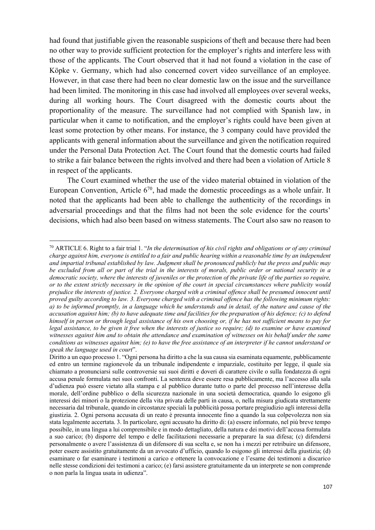had found that justifiable given the reasonable suspicions of theft and because there had been no other way to provide sufficient protection for the employer's rights and interfere less with those of the applicants. The Court observed that it had not found a violation in the case of Köpke v. Germany, which had also concerned covert video surveillance of an employee. However, in that case there had been no clear domestic law on the issue and the surveillance had been limited. The monitoring in this case had involved all employees over several weeks, during all working hours. The Court disagreed with the domestic courts about the proportionality of the measure. The surveillance had not complied with Spanish law, in particular when it came to notification, and the employer's rights could have been given at least some protection by other means. For instance, the 3 company could have provided the applicants with general information about the surveillance and given the notification required under the Personal Data Protection Act. The Court found that the domestic courts had failed to strike a fair balance between the rights involved and there had been a violation of Article 8 in respect of the applicants.

The Court examined whether the use of the video material obtained in violation of the European Convention, Article  $6^{70}$ , had made the domestic proceedings as a whole unfair. It noted that the applicants had been able to challenge the authenticity of the recordings in adversarial proceedings and that the films had not been the sole evidence for the courts' decisions, which had also been based on witness statements. The Court also saw no reason to

<sup>70</sup> ARTICLE 6. Right to a fair trial 1. "*In the determination of his civil rights and obligations or of any criminal charge against him, everyone is entitled to a fair and public hearing within a reasonable time by an independent and impartial tribunal established by law. Judgment shall be pronounced publicly but the press and public may be excluded from all or part of the trial in the interests of morals, public order or national security in a democratic society, where the interests of juveniles or the protection of the private life of the parties so require, or to the extent strictly necessary in the opinion of the court in special circumstances where publicity would prejudice the interests of justice. 2. Everyone charged with a criminal offence shall be presumed innocent until proved guilty according to law. 3. Everyone charged with a criminal offence has the following minimum rights: a) to be informed promptly, in a language which he understands and in detail, of the nature and cause of the accusation against him; (b) to have adequate time and facilities for the preparation of his defence; (c) to defend himself in person or through legal assistance of his own choosing or, if he has not sufficient means to pay for*  legal assistance, to be given it free when the interests of justice so require; (d) to examine or have examined *witnesses against him and to obtain the attendance and examination of witnesses on his behalf under the same conditions as witnesses against him; (e) to have the free assistance of an interpreter if he cannot understand or speak the language used in court*".

Diritto a un equo processo 1. "Ogni persona ha diritto a che la sua causa sia esaminata equamente, pubblicamente ed entro un termine ragionevole da un tribunale indipendente e imparziale, costituito per legge, il quale sia chiamato a pronunciarsi sulle controversie sui suoi diritti e doveri di carattere civile o sulla fondatezza di ogni accusa penale formulata nei suoi confronti. La sentenza deve essere resa pubblicamente, ma l'accesso alla sala d'udienza può essere vietato alla stampa e al pubblico durante tutto o parte del processo nell'interesse della morale, dell'ordine pubblico o della sicurezza nazionale in una società democratica, quando lo esigono gli interessi dei minori o la protezione della vita privata delle parti in causa, o, nella misura giudicata strettamente necessaria dal tribunale, quando in circostanze speciali la pubblicità possa portare pregiudizio agli interessi della giustizia. 2. Ogni persona accusata di un reato è presunta innocente fino a quando la sua colpevolezza non sia stata legalmente accertata. 3. In particolare, ogni accusato ha diritto di: (a) essere informato, nel più breve tempo possibile, in una lingua a lui comprensibile e in modo dettagliato, della natura e dei motivi dell'accusa formulata a suo carico; (b) disporre del tempo e delle facilitazioni necessarie a preparare la sua difesa; (c) difendersi personalmente o avere l'assistenza di un difensore di sua scelta e, se non ha i mezzi per retribuire un difensore, poter essere assistito gratuitamente da un avvocato d'ufficio, quando lo esigono gli interessi della giustizia; (d) esaminare o far esaminare i testimoni a carico e ottenere la convocazione e l'esame dei testimoni a discarico nelle stesse condizioni dei testimoni a carico; (e) farsi assistere gratuitamente da un interprete se non comprende o non parla la lingua usata in udienza".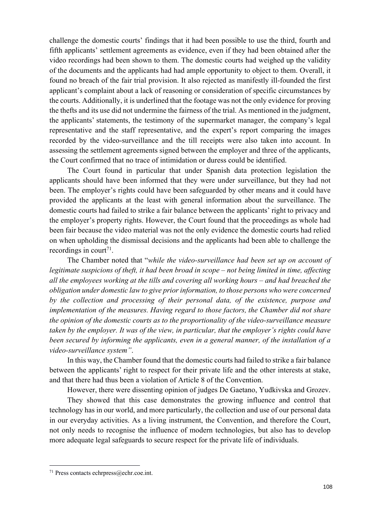challenge the domestic courts' findings that it had been possible to use the third, fourth and fifth applicants' settlement agreements as evidence, even if they had been obtained after the video recordings had been shown to them. The domestic courts had weighed up the validity of the documents and the applicants had had ample opportunity to object to them. Overall, it found no breach of the fair trial provision. It also rejected as manifestly ill-founded the first applicant's complaint about a lack of reasoning or consideration of specific circumstances by the courts. Additionally, it is underlined that the footage was not the only evidence for proving the thefts and its use did not undermine the fairness of the trial. As mentioned in the judgment, the applicants' statements, the testimony of the supermarket manager, the company's legal representative and the staff representative, and the expert's report comparing the images recorded by the video-surveillance and the till receipts were also taken into account. In assessing the settlement agreements signed between the employer and three of the applicants, the Court confirmed that no trace of intimidation or duress could be identified.

The Court found in particular that under Spanish data protection legislation the applicants should have been informed that they were under surveillance, but they had not been. The employer's rights could have been safeguarded by other means and it could have provided the applicants at the least with general information about the surveillance. The domestic courts had failed to strike a fair balance between the applicants' right to privacy and the employer's property rights. However, the Court found that the proceedings as whole had been fair because the video material was not the only evidence the domestic courts had relied on when upholding the dismissal decisions and the applicants had been able to challenge the recordings in court<sup>71</sup>.

The Chamber noted that "*while the video-surveillance had been set up on account of legitimate suspicions of theft, it had been broad in scope – not being limited in time, affecting all the employees working at the tills and covering all working hours – and had breached the obligation under domestic law to give prior information, to those persons who were concerned by the collection and processing of their personal data, of the existence, purpose and implementation of the measures. Having regard to those factors, the Chamber did not share the opinion of the domestic courts as to the proportionality of the video-surveillance measure taken by the employer. It was of the view, in particular, that the employer's rights could have been secured by informing the applicants, even in a general manner, of the installation of a video-surveillance system"*.

In this way, the Chamber found that the domestic courts had failed to strike a fair balance between the applicants' right to respect for their private life and the other interests at stake, and that there had thus been a violation of Article 8 of the Convention.

However, there were dissenting opinion of judges De Gaetano, Yudkivska and Grozev.

They showed that this case demonstrates the growing influence and control that technology has in our world, and more particularly, the collection and use of our personal data in our everyday activities. As a living instrument, the Convention, and therefore the Court, not only needs to recognise the influence of modern technologies, but also has to develop more adequate legal safeguards to secure respect for the private life of individuals.

<sup>71</sup> Press contacts echrpress@echr.coe.int.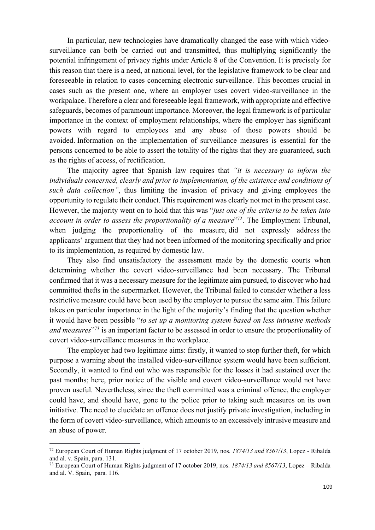In particular, new technologies have dramatically changed the ease with which videosurveillance can both be carried out and transmitted, thus multiplying significantly the potential infringement of privacy rights under Article 8 of the Convention. It is precisely for this reason that there is a need, at national level, for the legislative framework to be clear and foreseeable in relation to cases concerning electronic surveillance. This becomes crucial in cases such as the present one, where an employer uses covert video-surveillance in the workpalace. Therefore a clear and foreseeable legal framework, with appropriate and effective safeguards, becomes of paramount importance. Moreover, the legal framework is of particular importance in the context of employment relationships, where the employer has significant powers with regard to employees and any abuse of those powers should be avoided. Information on the implementation of surveillance measures is essential for the persons concerned to be able to assert the totality of the rights that they are guaranteed, such as the rights of access, of rectification.

The majority agree that Spanish law requires that *"it is necessary to inform the individuals concerned, clearly and prior to implementation, of the existence and conditions of such data collection"*, thus limiting the invasion of privacy and giving employees the opportunity to regulate their conduct. This requirement was clearly not met in the present case. However, the majority went on to hold that this was "*just one of the criteria to be taken into account in order to assess the proportionality of a measure*<sup>"72</sup>. The Employment Tribunal, when judging the proportionality of the measure, did not expressly address the applicants' argument that they had not been informed of the monitoring specifically and prior to its implementation, as required by domestic law.

They also find unsatisfactory the assessment made by the domestic courts when determining whether the covert video-surveillance had been necessary. The Tribunal confirmed that it was a necessary measure for the legitimate aim pursued, to discover who had committed thefts in the supermarket. However, the Tribunal failed to consider whether a less restrictive measure could have been used by the employer to pursue the same aim. This failure takes on particular importance in the light of the majority's finding that the question whether it would have been possible "*to set up a monitoring system based on less intrusive methods and measures*"73 is an important factor to be assessed in order to ensure the proportionality of covert video-surveillance measures in the workplace.

The employer had two legitimate aims: firstly, it wanted to stop further theft, for which purpose a warning about the installed video-surveillance system would have been sufficient. Secondly, it wanted to find out who was responsible for the losses it had sustained over the past months; here, prior notice of the visible and covert video-surveillance would not have proven useful. Nevertheless, since the theft committed was a criminal offence, the employer could have, and should have, gone to the police prior to taking such measures on its own initiative. The need to elucidate an offence does not justify private investigation, including in the form of covert video-surveillance, which amounts to an excessively intrusive measure and an abuse of power.

<sup>72</sup> European Court of Human Rights judgment of 17 october 2019, nos. *1874/13 and 8567/13*, Lopez - Ribalda and al. v. Spain, para. 131.

<sup>73</sup> European Court of Human Rights judgment of 17 october 2019, nos. *1874/13 and 8567/13*, Lopez – Ribalda and al. V. Spain, para. 116.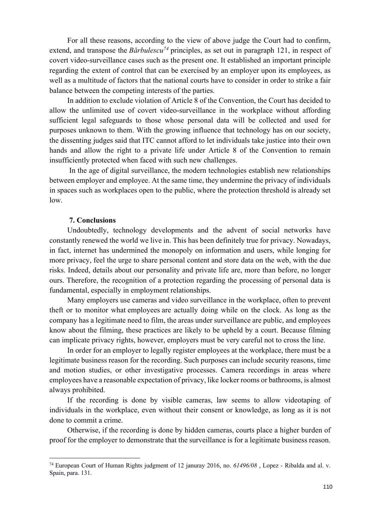For all these reasons, according to the view of above judge the Court had to confirm, extend, and transpose the *Bărbulescu*<sup>74</sup> principles, as set out in paragraph 121, in respect of covert video-surveillance cases such as the present one. It established an important principle regarding the extent of control that can be exercised by an employer upon its employees, as well as a multitude of factors that the national courts have to consider in order to strike a fair balance between the competing interests of the parties.

In addition to exclude violation of Article 8 of the Convention, the Court has decided to allow the unlimited use of covert video-surveillance in the workplace without affording sufficient legal safeguards to those whose personal data will be collected and used for purposes unknown to them. With the growing influence that technology has on our society, the dissenting judges said that ITC cannot afford to let individuals take justice into their own hands and allow the right to a private life under Article 8 of the Convention to remain insufficiently protected when faced with such new challenges.

In the age of digital surveillance, the modern technologies establish new relationships between employer and employee. At the same time, they undermine the privacy of individuals in spaces such as workplaces open to the public, where the protection threshold is already set low.

## **7. Conclusions**

Undoubtedly, technology developments and the advent of social networks have constantly renewed the world we live in. This has been definitely true for privacy. Nowadays, in fact, internet has undermined the monopoly on information and users, while longing for more privacy, feel the urge to share personal content and store data on the web, with the due risks. Indeed, details about our personality and private life are, more than before, no longer ours. Therefore, the recognition of a protection regarding the processing of personal data is fundamental, especially in employment relationships.

Many employers use cameras and video surveillance in the workplace, often to prevent theft or to monitor what employees are actually doing while on the clock. As long as the company has a legitimate need to film, the areas under surveillance are public, and employees know about the filming, these practices are likely to be upheld by a court. Because filming can implicate privacy rights, however, employers must be very careful not to cross the line.

In order for an employer to legally register employees at the workplace, there must be a legitimate business reason for the recording. Such purposes can include security reasons, time and motion studies, or other investigative processes. Camera recordings in areas where employees have a reasonable expectation of privacy, like locker rooms or bathrooms, is almost always prohibited.

If the recording is done by visible cameras, law seems to allow videotaping of individuals in the workplace, even without their consent or knowledge, as long as it is not done to commit a crime.

Otherwise, if the recording is done by hidden cameras, courts place a higher burden of proof for the employer to demonstrate that the surveillance is for a legitimate business reason.

<sup>74</sup> European Court of Human Rights judgment of 12 januray 2016, no. *61496/08* , Lopez - Ribalda and al. v. Spain, para. 131.